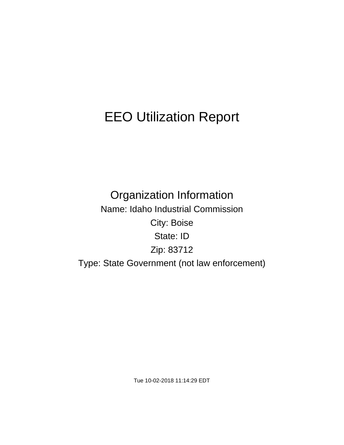# EEO Utilization Report

Organization Information Name: Idaho Industrial Commission City: Boise State: ID Zip: 83712 Type: State Government (not law enforcement)

Tue 10-02-2018 11:14:29 EDT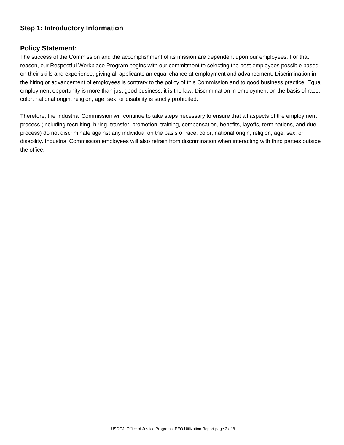## **Step 1: Introductory Information**

#### **Policy Statement:**

The success of the Commission and the accomplishment of its mission are dependent upon our employees. For that reason, our Respectful Workplace Program begins with our commitment to selecting the best employees possible based on their skills and experience, giving all applicants an equal chance at employment and advancement. Discrimination in the hiring or advancement of employees is contrary to the policy of this Commission and to good business practice. Equal employment opportunity is more than just good business; it is the law. Discrimination in employment on the basis of race, color, national origin, religion, age, sex, or disability is strictly prohibited.

Therefore, the Industrial Commission will continue to take steps necessary to ensure that all aspects of the employment process (including recruiting, hiring, transfer, promotion, training, compensation, benefits, layoffs, terminations, and due process) do not discriminate against any individual on the basis of race, color, national origin, religion, age, sex, or disability. Industrial Commission employees will also refrain from discrimination when interacting with third parties outside the office.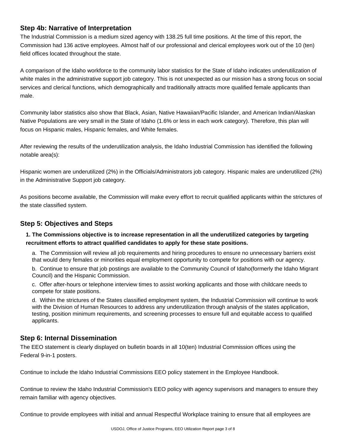## **Step 4b: Narrative of Interpretation**

The Industrial Commission is a medium sized agency with 138.25 full time positions. At the time of this report, the Commission had 136 active employees. Almost half of our professional and clerical employees work out of the 10 (ten) field offices located throughout the state.

A comparison of the Idaho workforce to the community labor statistics for the State of Idaho indicates underutilization of white males in the administrative support job category. This is not unexpected as our mission has a strong focus on social services and clerical functions, which demographically and traditionally attracts more qualified female applicants than male.

Community labor statistics also show that Black, Asian, Native Hawaiian/Pacific Islander, and American Indian/Alaskan Native Populations are very small in the State of Idaho (1.6% or less in each work category). Therefore, this plan will focus on Hispanic males, Hispanic females, and White females.

After reviewing the results of the underutilization analysis, the Idaho Industrial Commission has identified the following notable area(s):

Hispanic women are underutilized (2%) in the Officials/Administrators job category. Hispanic males are underutilized (2%) in the Administrative Support job category.

As positions become available, the Commission will make every effort to recruit qualified applicants within the strictures of the state classified system.

## **Step 5: Objectives and Steps**

#### **1. The Commissions objective is to increase representation in all the underutilized categories by targeting recruitment efforts to attract qualified candidates to apply for these state positions.**

a. The Commission will review all job requirements and hiring procedures to ensure no unnecessary barriers exist that would deny females or minorities equal employment opportunity to compete for positions with our agency.

b. Continue to ensure that job postings are available to the Community Council of Idaho(formerly the Idaho Migrant Council) and the Hispanic Commission.

c. Offer after-hours or telephone interview times to assist working applicants and those with childcare needs to compete for state positions.

d. Within the strictures of the States classified employment system, the Industrial Commission will continue to work with the Division of Human Resources to address any underutilization through analysis of the states application, testing, position minimum requirements, and screening processes to ensure full and equitable access to qualified applicants.

## **Step 6: Internal Dissemination**

The EEO statement is clearly displayed on bulletin boards in all 10(ten) Industrial Commission offices using the Federal 9-in-1 posters.

Continue to include the Idaho Industrial Commissions EEO policy statement in the Employee Handbook.

Continue to review the Idaho Industrial Commission's EEO policy with agency supervisors and managers to ensure they remain familiar with agency objectives.

Continue to provide employees with initial and annual Respectful Workplace training to ensure that all employees are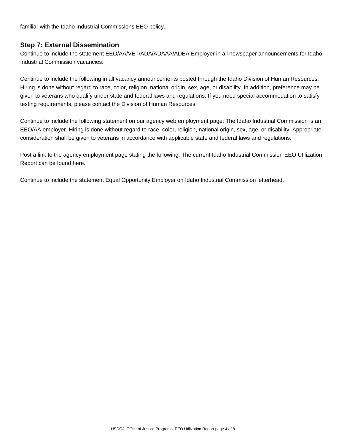familiar with the Idaho Industrial Commissions EEO policy.

#### **Step 7: External Dissemination**

Continue to include the statement EEO/AA/VET/ADA/ADAAA/ADEA Employer in all newspaper announcements for Idaho Industrial Commission vacancies.

Continue to include the following in all vacancy announcements posted through the Idaho Division of Human Resources: Hiring is done without regard to race, color, religion, national origin, sex, age, or disability. In addition, preference may be given to veterans who qualify under state and federal laws and regulations. If you need special accommodation to satisfy testing requirements, please contact the Division of Human Resources.

Continue to include the following statement on our agency web employment page: The Idaho Industrial Commission is an EEO/AA employer. Hiring is done without regard to race, color, religion, national origin, sex, age, or disability. Appropriate consideration shall be given to veterans in accordance with applicable state and federal laws and regulations.

Post a link to the agency employment page stating the following: The current Idaho Industrial Commission EEO Utilization Report can be found here.

Continue to include the statement Equal Opportunity Employer on Idaho Industrial Commission letterhead.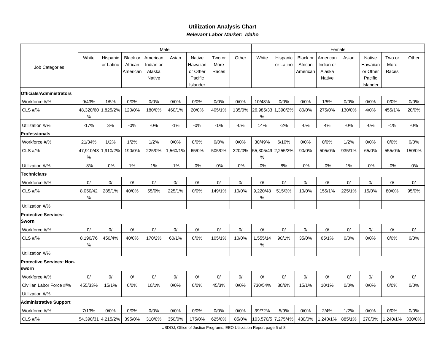#### **Utilization Analysis ChartRelevant Labor Market: Idaho**

|                                           |                  |                       |                                 |                                           | Male    |                                                       |                         |        | Female                     |                       |                                 |                                           |        |                                                       |                         |        |
|-------------------------------------------|------------------|-----------------------|---------------------------------|-------------------------------------------|---------|-------------------------------------------------------|-------------------------|--------|----------------------------|-----------------------|---------------------------------|-------------------------------------------|--------|-------------------------------------------------------|-------------------------|--------|
| Job Categories                            | White            | Hispanic<br>or Latino | Black or<br>African<br>American | American<br>Indian or<br>Alaska<br>Native | Asian   | Native<br>Hawaiian<br>or Other<br>Pacific<br>Islander | Two or<br>More<br>Races | Other  | White                      | Hispanic<br>or Latino | Black or<br>African<br>American | American<br>Indian or<br>Alaska<br>Native | Asian  | Native<br>Hawaiiar<br>or Other<br>Pacific<br>Islander | Two or<br>More<br>Races | Other  |
| Officials/Administrators                  |                  |                       |                                 |                                           |         |                                                       |                         |        |                            |                       |                                 |                                           |        |                                                       |                         |        |
| Workforce #/%                             | 9/43%            | 1/5%                  | 0/0%                            | 0/0%                                      | 0/0%    | 0/0%                                                  | 0/0%                    | 0/0%   | 10/48%                     | 0/0%                  | 0/0%                            | 1/5%                                      | 0/0%   | 0/0%                                                  | 0/0%                    | 0/0%   |
| <b>CLS #/%</b>                            | 48,320/60<br>℅   | 1,825/2%              | 120/0%                          | 180/0%                                    | 460/1%  | 20/0%                                                 | 405/1%                  | 135/0% | 26,985/33<br>%             | 1,390/2%              | 80/0%                           | 275/0%                                    | 130/0% | 4/0%                                                  | 455/1%                  | 20/0%  |
| Utilization #/%                           | $-17%$           | 3%                    | $-0%$                           | $-0%$                                     | $-1%$   | $-0%$                                                 | $-1%$                   | $-0%$  | 14%                        | $-2%$                 | $-0%$                           | 4%                                        | $-0%$  | $-0%$                                                 | $-1%$                   | $-0%$  |
| <b>Professionals</b>                      |                  |                       |                                 |                                           |         |                                                       |                         |        |                            |                       |                                 |                                           |        |                                                       |                         |        |
| Workforce #/%                             | 21/34%           | 1/2%                  | 1/2%                            | 1/2%                                      | 0/0%    | 0/0%                                                  | 0/0%                    | 0/0%   | 30/49%                     | 6/10%                 | 0/0%                            | 0/0%                                      | 1/2%   | 0/0%                                                  | 0/0%                    | 0/0%   |
| CLS #/%                                   | 47,910/43<br>℅   | 1,910/2%              | 190/0%                          | 225/0%                                    | ,560/1% | 65/0%                                                 | 505/0%                  | 220/0% | 55,305/49 2,255/2%<br>$\%$ |                       | 90/0%                           | 505/0%                                    | 935/1% | 65/0%                                                 | 555/0%                  | 150/0% |
| Utilization #/%                           | $-8%$            | $-0%$                 | 1%                              | 1%                                        | $-1%$   | $-0%$                                                 | $-0%$                   | $-0%$  | $-0%$                      | 8%                    | $-0%$                           | $-0%$                                     | 1%     | $-0%$                                                 | $-0%$                   | $-0%$  |
| <b>Technicians</b>                        |                  |                       |                                 |                                           |         |                                                       |                         |        |                            |                       |                                 |                                           |        |                                                       |                         |        |
| Workforce #/%                             | 0/               | 0/                    | 0/                              | 0/                                        | 0/      | 0/                                                    | 0/                      | 0/     | 0/                         | 0/                    | 0/                              | 0/                                        | 0/     | 0/                                                    | 0/                      | 0/     |
| CLS #/%                                   | 8,050/42<br>$\%$ | 285/1%                | 40/0%                           | 55/0%                                     | 225/1%  | 0/0%                                                  | 149/1%                  | 10/0%  | 9,220/48<br>%              | 515/3%                | 10/0%                           | 155/1%                                    | 225/1% | 15/0%                                                 | 80/0%                   | 95/0%  |
| Utilization #/%                           |                  |                       |                                 |                                           |         |                                                       |                         |        |                            |                       |                                 |                                           |        |                                                       |                         |        |
| <b>Protective Services:</b><br>Sworn      |                  |                       |                                 |                                           |         |                                                       |                         |        |                            |                       |                                 |                                           |        |                                                       |                         |        |
| Workforce #/%                             | 0/               | 0/                    | 0/                              | 0/                                        | 0/      | 0/                                                    | 0/                      | 0/     | 0/                         | 0/                    | 0/                              | 0/                                        | 0/     | 0/                                                    | 0/                      | 0/     |
| CLS #/%                                   | 8,190/76<br>%    | 450/4%                | 40/0%                           | 170/2%                                    | 60/1%   | 0/0%                                                  | 105/1%                  | 10/0%  | 1,555/14<br>$\%$           | 90/1%                 | 35/0%                           | 65/1%                                     | 0/0%   | 0/0%                                                  | 0/0%                    | 0/0%   |
| Utilization #/%                           |                  |                       |                                 |                                           |         |                                                       |                         |        |                            |                       |                                 |                                           |        |                                                       |                         |        |
| <b>Protective Services: Non-</b><br>sworn |                  |                       |                                 |                                           |         |                                                       |                         |        |                            |                       |                                 |                                           |        |                                                       |                         |        |
| Workforce #/%                             | 0/               | 0/                    | 0/                              | 0/                                        | 0/      | 0/                                                    | 0/                      | 0/     | 0/                         | 0/                    | 0/                              | 0/                                        | 0/     | 0/                                                    | 0/                      | 0/     |
| Civilian Labor Force #/%                  | 455/33%          | 15/1%                 | 0/0%                            | 10/1%                                     | 0/0%    | 0/0%                                                  | 45/3%                   | 0/0%   | 730/54%                    | 80/6%                 | 15/1%                           | 10/1%                                     | 0/0%   | 0/0%                                                  | 0/0%                    | 0/0%   |
| Utilization #/%                           |                  |                       |                                 |                                           |         |                                                       |                         |        |                            |                       |                                 |                                           |        |                                                       |                         |        |
| <b>Administrative Support</b>             |                  |                       |                                 |                                           |         |                                                       |                         |        |                            |                       |                                 |                                           |        |                                                       |                         |        |
| Workforce #/%                             | 7/13%            | 0/0%                  | 0/0%                            | 0/0%                                      | 0/0%    | 0/0%                                                  | 0/0%                    | 0/0%   | 39/72%                     | 5/9%                  | 0/0%                            | 2/4%                                      | 1/2%   | 0/0%                                                  | 0/0%                    | 0/0%   |
| CLS #/%                                   |                  | 54,390/31 4,215/2%    | 395/0%                          | 310/0%                                    | 350/0%  | 175/0%                                                | 625/0%                  | 85/0%  |                            | 103,570/5 7,275/4%    | 430/0%                          | 1,240/1%                                  | 885/1% | 270/0%                                                | 1,240/1%                | 330/0% |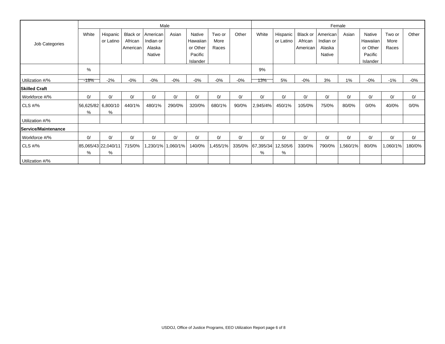|                             |                         | Male                     |                            |                       |                   |                     |                |        |                |                       | Female              |                       |          |                     |                |        |  |  |
|-----------------------------|-------------------------|--------------------------|----------------------------|-----------------------|-------------------|---------------------|----------------|--------|----------------|-----------------------|---------------------|-----------------------|----------|---------------------|----------------|--------|--|--|
|                             | White                   | Hispanic<br>or Latino    | <b>Black or</b><br>African | American<br>Indian or | Asian             | Native<br>Hawaiian  | Two or<br>More | Other  | White          | Hispanic<br>or Latino | Black or<br>African | American<br>Indian or | Asian    | Native<br>Hawaiian  | Two or<br>More | Other  |  |  |
| Job Categories              |                         |                          | American                   | Alaska                |                   | or Other            | Races          |        |                |                       | American            | Alaska                |          | or Other            | Races          |        |  |  |
|                             |                         |                          |                            | Native                |                   | Pacific<br>Islander |                |        |                |                       |                     | Native                |          | Pacific<br>Islander |                |        |  |  |
|                             | %                       |                          |                            |                       |                   |                     |                |        | 9%             |                       |                     |                       |          |                     |                |        |  |  |
| Utilization #/%             | -18%                    | $-2%$                    | $-0%$                      | $-0%$                 | $-0%$             | $-0%$               | $-0%$          | $-0\%$ | 13%            | 5%                    | $-0%$               | 3%                    | 1%       | $-0\%$              | $-1%$          | -0%    |  |  |
| <b>Skilled Craft</b>        |                         |                          |                            |                       |                   |                     |                |        |                |                       |                     |                       |          |                     |                |        |  |  |
| Workforce #/%               | 0/                      | 0/                       | 0/                         | 0/                    | 0/                | 0/                  | 0/             | 0/     | 0/             | 0/                    | 0/                  | 0/                    | 0/       | 0/                  | 0/             | 0/     |  |  |
| $CLS$ #/%                   | 56,625/82 6,800/10<br>% | %                        | 440/1%                     | 480/1%                | 290/0%            | 320/0%              | 680/1%         | 90/0%  | 2,945/4%       | 450/1%                | 105/0%              | 75/0%                 | 80/0%    | 0/0%                | 40/0%          | 0/0%   |  |  |
| Utilization #/%             |                         |                          |                            |                       |                   |                     |                |        |                |                       |                     |                       |          |                     |                |        |  |  |
| <b>lService/Maintenance</b> |                         |                          |                            |                       |                   |                     |                |        |                |                       |                     |                       |          |                     |                |        |  |  |
| Workforce #/%               | 0/                      | $\Omega$                 | 0/                         | 0/                    | 0/                | 0/                  | 0/             | 0/     | $\Omega$       | 0/                    | 0/                  | 0/                    | 0/       | 0/                  | 0/             | 0/     |  |  |
| $CLS$ #/%                   | %                       | 85,065/43 22,040/11<br>% | 715/0%                     |                       | 1,230/1% 1,060/1% | 140/0%              | 1,455/1%       | 335/0% | 67,395/34<br>% | 12,505/6<br>%         | 330/0%              | 790/0%                | 1,560/1% | 80/0%               | 1,060/1%       | 180/0% |  |  |
| Utilization #/%             |                         |                          |                            |                       |                   |                     |                |        |                |                       |                     |                       |          |                     |                |        |  |  |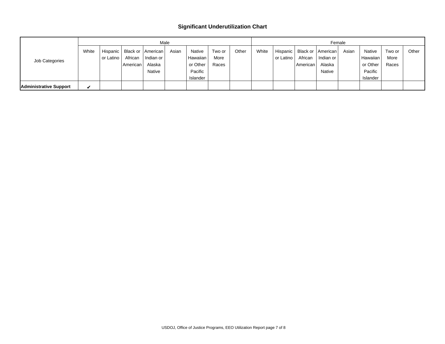#### **Significant Underutilization Chart**

|                        |       | Male      |          |                     |       |               |        |       |       | Female    |            |                                |       |          |        |       |  |
|------------------------|-------|-----------|----------|---------------------|-------|---------------|--------|-------|-------|-----------|------------|--------------------------------|-------|----------|--------|-------|--|
| Job Categories         | White | Hispanic  |          | Black or   American | Asian | <b>Native</b> | Two or | Other | White |           |            | Hispanic   Black or   American | Asian | Native   | Two or | Other |  |
|                        |       | or Latino | African  | Indian or           |       | Hawaiian      | More   |       |       | or Latino | African    | Indian or                      |       | Hawaiian | More   |       |  |
|                        |       |           | American | Alaska              |       | or Other      | Races  |       |       |           | American I | Alaska                         |       | or Other | Races  |       |  |
|                        |       |           |          | Native              |       | Pacific       |        |       |       |           |            | Native                         |       | Pacific  |        |       |  |
|                        |       |           |          |                     |       | Islander      |        |       |       |           |            |                                |       | Islander |        |       |  |
| Administrative Support | ✔     |           |          |                     |       |               |        |       |       |           |            |                                |       |          |        |       |  |